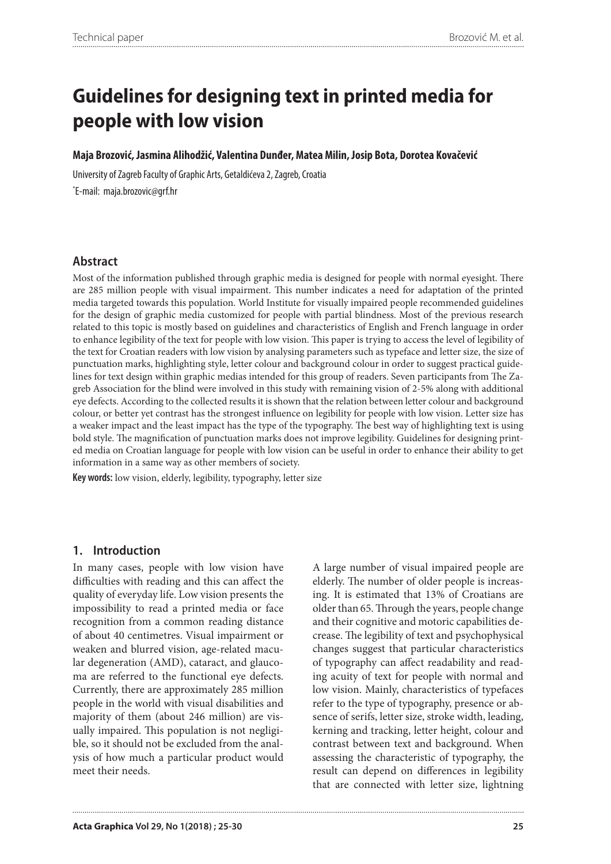#### **Maja Brozović, Jasmina Alihodžić, Valentina Dunđer, Matea Milin, Josip Bota, Dorotea Kovačević**

University of Zagreb Faculty of Graphic Arts, Getaldićeva 2, Zagreb, Croatia \* E-mail: maja.brozovic@grf.hr

## **Abstract**

Most of the information published through graphic media is designed for people with normal eyesight. There are 285 million people with visual impairment. This number indicates a need for adaptation of the printed media targeted towards this population. World Institute for visually impaired people recommended guidelines for the design of graphic media customized for people with partial blindness. Most of the previous research related to this topic is mostly based on guidelines and characteristics of English and French language in order to enhance legibility of the text for people with low vision. This paper is trying to access the level of legibility of the text for Croatian readers with low vision by analysing parameters such as typeface and letter size, the size of punctuation marks, highlighting style, letter colour and background colour in order to suggest practical guidelines for text design within graphic medias intended for this group of readers. Seven participants from The Zagreb Association for the blind were involved in this study with remaining vision of 2-5% along with additional eye defects. According to the collected results it is shown that the relation between letter colour and background colour, or better yet contrast has the strongest influence on legibility for people with low vision. Letter size has a weaker impact and the least impact has the type of the typography. The best way of highlighting text is using bold style. The magnification of punctuation marks does not improve legibility. Guidelines for designing printed media on Croatian language for people with low vision can be useful in order to enhance their ability to get information in a same way as other members of society.

**Key words:** low vision, elderly, legibility, typography, letter size

### **1. Introduction**

In many cases, people with low vision have difficulties with reading and this can affect the quality of everyday life. Low vision presents the impossibility to read a printed media or face recognition from a common reading distance of about 40 centimetres. Visual impairment or weaken and blurred vision, age-related macular degeneration (AMD), cataract, and glaucoma are referred to the functional eye defects. Currently, there are approximately 285 million people in the world with visual disabilities and majority of them (about 246 million) are visually impaired. This population is not negligible, so it should not be excluded from the analysis of how much a particular product would meet their needs.

A large number of visual impaired people are elderly. The number of older people is increasing. It is estimated that 13% of Croatians are older than 65. Through the years, people change and their cognitive and motoric capabilities decrease. The legibility of text and psychophysical changes suggest that particular characteristics of typography can affect readability and reading acuity of text for people with normal and low vision. Mainly, characteristics of typefaces refer to the type of typography, presence or absence of serifs, letter size, stroke width, leading, kerning and tracking, letter height, colour and contrast between text and background. When assessing the characteristic of typography, the result can depend on differences in legibility that are connected with letter size, lightning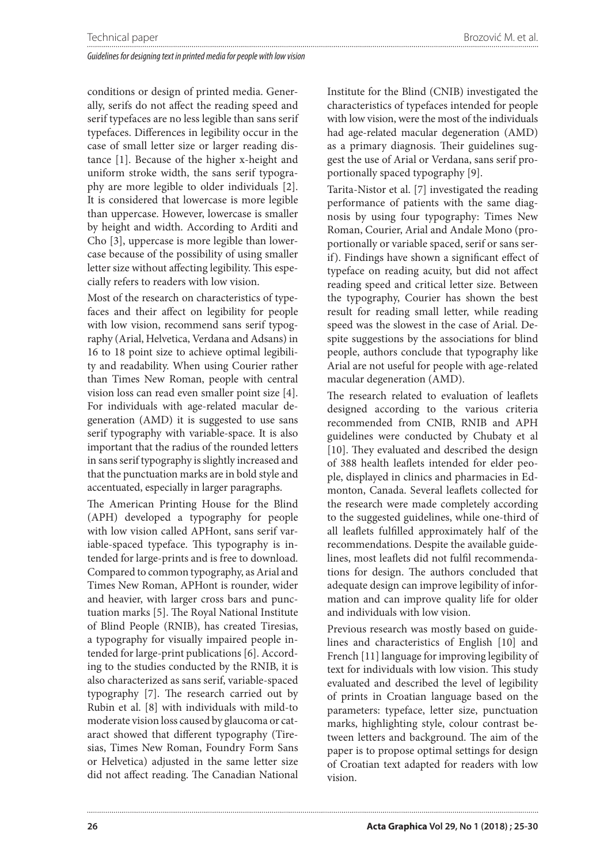conditions or design of printed media. Generally, serifs do not affect the reading speed and serif typefaces are no less legible than sans serif typefaces. Differences in legibility occur in the case of small letter size or larger reading distance [1]. Because of the higher x-height and uniform stroke width, the sans serif typography are more legible to older individuals [2]. It is considered that lowercase is more legible than uppercase. However, lowercase is smaller by height and width. According to Arditi and Cho [3], uppercase is more legible than lowercase because of the possibility of using smaller letter size without affecting legibility. This especially refers to readers with low vision.

Most of the research on characteristics of typefaces and their affect on legibility for people with low vision, recommend sans serif typography (Arial, Helvetica, Verdana and Adsans) in 16 to 18 point size to achieve optimal legibility and readability. When using Courier rather than Times New Roman, people with central vision loss can read even smaller point size [4]. For individuals with age-related macular degeneration (AMD) it is suggested to use sans serif typography with variable-space. It is also important that the radius of the rounded letters in sans serif typography is slightly increased and that the punctuation marks are in bold style and accentuated, especially in larger paragraphs.

The American Printing House for the Blind (APH) developed a typography for people with low vision called APHont, sans serif variable-spaced typeface. This typography is intended for large-prints and is free to download. Compared to common typography, as Arial and Times New Roman, APHont is rounder, wider and heavier, with larger cross bars and punctuation marks [5]. The Royal National Institute of Blind People (RNIB), has created Tiresias, a typography for visually impaired people intended for large-print publications [6]. According to the studies conducted by the RNIB, it is also characterized as sans serif, variable-spaced typography [7]. The research carried out by Rubin et al. [8] with individuals with mild-to moderate vision loss caused by glaucoma or cataract showed that different typography (Tiresias, Times New Roman, Foundry Form Sans or Helvetica) adjusted in the same letter size did not affect reading. The Canadian National

Institute for the Blind (CNIB) investigated the characteristics of typefaces intended for people with low vision, were the most of the individuals had age-related macular degeneration (AMD) as a primary diagnosis. Their guidelines suggest the use of Arial or Verdana, sans serif proportionally spaced typography [9].

Tarita-Nistor et al. [7] investigated the reading performance of patients with the same diagnosis by using four typography: Times New Roman, Courier, Arial and Andale Mono (proportionally or variable spaced, serif or sans serif). Findings have shown a significant effect of typeface on reading acuity, but did not affect reading speed and critical letter size. Between the typography, Courier has shown the best result for reading small letter, while reading speed was the slowest in the case of Arial. Despite suggestions by the associations for blind people, authors conclude that typography like Arial are not useful for people with age-related macular degeneration (AMD).

The research related to evaluation of leaflets designed according to the various criteria recommended from CNIB, RNIB and APH guidelines were conducted by Chubaty et al [10]. They evaluated and described the design of 388 health leaflets intended for elder people, displayed in clinics and pharmacies in Edmonton, Canada. Several leaflets collected for the research were made completely according to the suggested guidelines, while one-third of all leaflets fulfilled approximately half of the recommendations. Despite the available guidelines, most leaflets did not fulfil recommendations for design. The authors concluded that adequate design can improve legibility of information and can improve quality life for older and individuals with low vision.

Previous research was mostly based on guidelines and characteristics of English [10] and French [11] language for improving legibility of text for individuals with low vision. This study evaluated and described the level of legibility of prints in Croatian language based on the parameters: typeface, letter size, punctuation marks, highlighting style, colour contrast between letters and background. The aim of the paper is to propose optimal settings for design of Croatian text adapted for readers with low vision.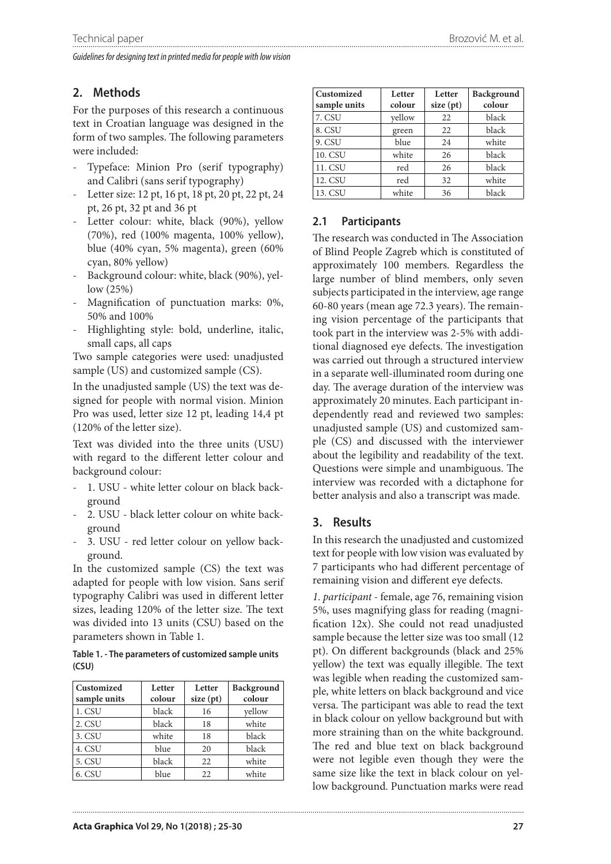# **2. Methods**

For the purposes of this research a continuous text in Croatian language was designed in the form of two samples. The following parameters were included:

- Typeface: Minion Pro (serif typography) and Calibri (sans serif typography)
- Letter size: 12 pt, 16 pt, 18 pt, 20 pt, 22 pt, 24 pt, 26 pt, 32 pt and 36 pt
- Letter colour: white, black (90%), yellow (70%), red (100% magenta, 100% yellow), blue (40% cyan, 5% magenta), green (60% cyan, 80% yellow)
- Background colour: white, black (90%), yellow (25%)
- Magnification of punctuation marks: 0%, 50% and 100%
- Highlighting style: bold, underline, italic, small caps, all caps

Two sample categories were used: unadjusted sample (US) and customized sample (CS).

In the unadjusted sample (US) the text was designed for people with normal vision. Minion Pro was used, letter size 12 pt, leading 14,4 pt (120% of the letter size).

Text was divided into the three units (USU) with regard to the different letter colour and background colour:

- 1. USU white letter colour on black background
- 2. USU black letter colour on white background
- 3. USU red letter colour on yellow background.

In the customized sample (CS) the text was adapted for people with low vision. Sans serif typography Calibri was used in different letter sizes, leading 120% of the letter size. The text was divided into 13 units (CSU) based on the parameters shown in Table 1.

**Table 1. - The parameters of customized sample units (CSU)**

| Customized<br>sample units | Letter<br>colour | Letter<br>size (pt) | Background<br>colour |
|----------------------------|------------------|---------------------|----------------------|
| 1. CSU                     | black            | 16                  | vellow               |
| 2. CSU                     | black            | 18                  | white                |
| 3. CSU                     | white            | 18                  | black                |
| 4. CSU                     | blue             | 20                  | black                |
| 5. CSU                     | black            | 22                  | white                |
| 6. CSU                     | blue             | 22                  | white                |

| Customized<br>sample units | Letter<br>colour | Letter<br>size(pt) | Background<br>colour |
|----------------------------|------------------|--------------------|----------------------|
| 7. CSU                     | vellow           | 22                 | black                |
| 8. CSU                     | green            | 22                 | black                |
| 9. CSU                     | blue             | 24                 | white                |
| <b>10. CSU</b>             | white            | 26                 | black                |
| 11. CSU                    | red              | 26                 | black                |
| 12. CSU                    | red              | 32                 | white                |
| 13. CSU                    | white            | 36                 | black                |

## **2.1 Participants**

The research was conducted in The Association of Blind People Zagreb which is constituted of approximately 100 members. Regardless the large number of blind members, only seven subjects participated in the interview, age range 60-80 years (mean age 72.3 years). The remaining vision percentage of the participants that took part in the interview was 2-5% with additional diagnosed eye defects. The investigation was carried out through a structured interview in a separate well-illuminated room during one day. The average duration of the interview was approximately 20 minutes. Each participant independently read and reviewed two samples: unadjusted sample (US) and customized sample (CS) and discussed with the interviewer about the legibility and readability of the text. Questions were simple and unambiguous. The interview was recorded with a dictaphone for better analysis and also a transcript was made.

## **3. Results**

In this research the unadjusted and customized text for people with low vision was evaluated by 7 participants who had different percentage of remaining vision and different eye defects.

*1. participant* - female, age 76, remaining vision 5%, uses magnifying glass for reading (magnification 12x). She could not read unadjusted sample because the letter size was too small (12 pt). On different backgrounds (black and 25% yellow) the text was equally illegible. The text was legible when reading the customized sample, white letters on black background and vice versa. The participant was able to read the text in black colour on yellow background but with more straining than on the white background. The red and blue text on black background were not legible even though they were the same size like the text in black colour on yellow background. Punctuation marks were read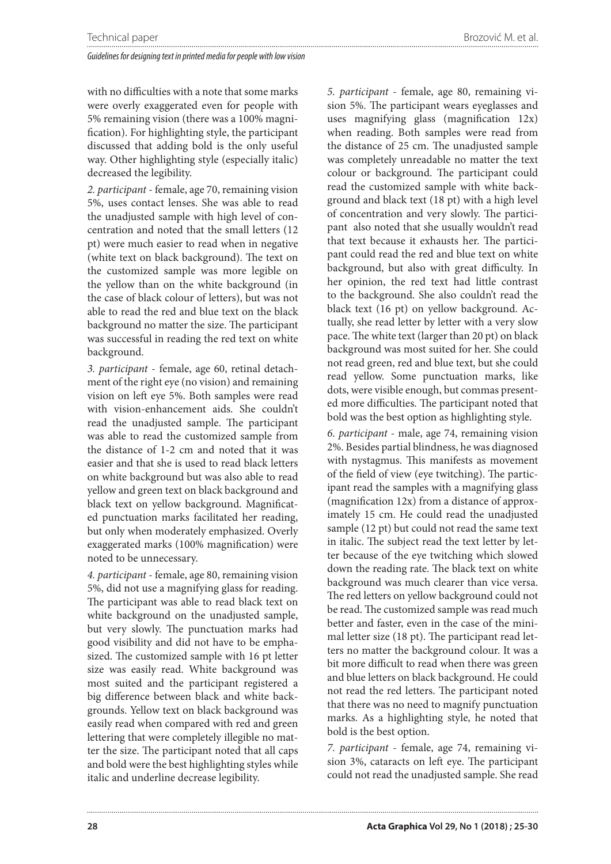with no difficulties with a note that some marks were overly exaggerated even for people with 5% remaining vision (there was a 100% magnification). For highlighting style, the participant discussed that adding bold is the only useful way. Other highlighting style (especially italic) decreased the legibility.

*2. participant* - female, age 70, remaining vision 5%, uses contact lenses. She was able to read the unadjusted sample with high level of concentration and noted that the small letters (12 pt) were much easier to read when in negative (white text on black background). The text on the customized sample was more legible on the yellow than on the white background (in the case of black colour of letters), but was not able to read the red and blue text on the black background no matter the size. The participant was successful in reading the red text on white background.

*3. participant* - female, age 60, retinal detachment of the right eye (no vision) and remaining vision on left eye 5%. Both samples were read with vision-enhancement aids. She couldn't read the unadjusted sample. The participant was able to read the customized sample from the distance of 1-2 cm and noted that it was easier and that she is used to read black letters on white background but was also able to read yellow and green text on black background and black text on yellow background. Magnificated punctuation marks facilitated her reading, but only when moderately emphasized. Overly exaggerated marks (100% magnification) were noted to be unnecessary.

*4. participant* - female, age 80, remaining vision 5%, did not use a magnifying glass for reading. The participant was able to read black text on white background on the unadjusted sample, but very slowly. The punctuation marks had good visibility and did not have to be emphasized. The customized sample with 16 pt letter size was easily read. White background was most suited and the participant registered a big difference between black and white backgrounds. Yellow text on black background was easily read when compared with red and green lettering that were completely illegible no matter the size. The participant noted that all caps and bold were the best highlighting styles while italic and underline decrease legibility.

*5. participant* - female, age 80, remaining vision 5%. The participant wears eyeglasses and uses magnifying glass (magnification 12x) when reading. Both samples were read from the distance of 25 cm. The unadjusted sample was completely unreadable no matter the text colour or background. The participant could read the customized sample with white background and black text (18 pt) with a high level of concentration and very slowly. The participant also noted that she usually wouldn't read that text because it exhausts her. The participant could read the red and blue text on white background, but also with great difficulty. In her opinion, the red text had little contrast to the background. She also couldn't read the black text (16 pt) on yellow background. Actually, she read letter by letter with a very slow pace. The white text (larger than 20 pt) on black background was most suited for her. She could not read green, red and blue text, but she could read yellow. Some punctuation marks, like dots, were visible enough, but commas presented more difficulties. The participant noted that bold was the best option as highlighting style.

*6. participant* - male, age 74, remaining vision 2%. Besides partial blindness, he was diagnosed with nystagmus. This manifests as movement of the field of view (eye twitching). The participant read the samples with a magnifying glass (magnification 12x) from a distance of approximately 15 cm. He could read the unadjusted sample (12 pt) but could not read the same text in italic. The subject read the text letter by letter because of the eye twitching which slowed down the reading rate. The black text on white background was much clearer than vice versa. The red letters on yellow background could not be read. The customized sample was read much better and faster, even in the case of the minimal letter size (18 pt). The participant read letters no matter the background colour. It was a bit more difficult to read when there was green and blue letters on black background. He could not read the red letters. The participant noted that there was no need to magnify punctuation marks. As a highlighting style, he noted that bold is the best option.

*7. participant* - female, age 74, remaining vision 3%, cataracts on left eye. The participant could not read the unadjusted sample. She read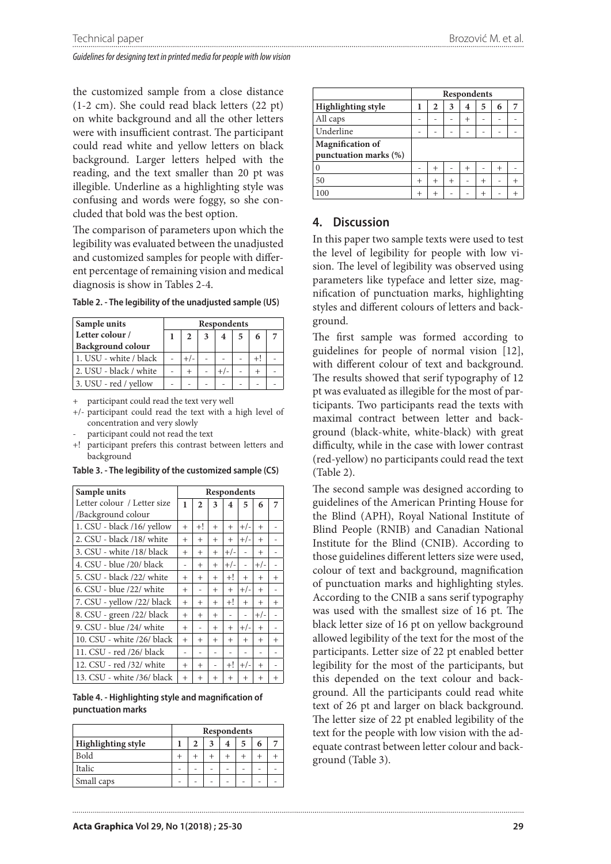the customized sample from a close distance (1-2 cm). She could read black letters (22 pt) on white background and all the other letters were with insufficient contrast. The participant could read white and yellow letters on black background. Larger letters helped with the reading, and the text smaller than 20 pt was illegible. Underline as a highlighting style was confusing and words were foggy, so she concluded that bold was the best option.

The comparison of parameters upon which the legibility was evaluated between the unadjusted and customized samples for people with different percentage of remaining vision and medical diagnosis is show in Tables 2-4.

| Sample units             | Respondents |  |  |  |   |  |  |  |  |
|--------------------------|-------------|--|--|--|---|--|--|--|--|
| Letter colour /          |             |  |  |  | 5 |  |  |  |  |
| <b>Background colour</b> |             |  |  |  |   |  |  |  |  |
| 1. USU - white / black   |             |  |  |  |   |  |  |  |  |
| 2. USU - black / white   |             |  |  |  |   |  |  |  |  |
| 3. USU - red / yellow    |             |  |  |  |   |  |  |  |  |

**Table 2. - The legibility of the unadjusted sample (US)**

+ participant could read the text very well

- +/- participant could read the text with a high level of concentration and very slowly
- participant could not read the text
- +! participant prefers this contrast between letters and background

| Sample units                | Respondents    |                |                          |                         |                |                |        |
|-----------------------------|----------------|----------------|--------------------------|-------------------------|----------------|----------------|--------|
| Letter colour / Letter size | 1              | $\overline{2}$ | 3                        | $\overline{\mathbf{4}}$ | 5              | 6              | 7      |
| /Background colour          |                |                |                          |                         |                |                |        |
| 1. CSU - black /16/ yellow  | $^{+}$         | +!             | $^{+}$                   | $^{+}$                  | $+/-$          | $^{+}$         |        |
| 2. CSU - black /18/ white   | $^{+}$         | $^{+}$         | $^{+}$                   | $^{+}$                  | $+/-$          | $^{+}$         |        |
| 3. CSU - white /18/ black   | $^{+}$         | $^{+}$         | $^{+}$                   | $+/-$                   | ÷,             | $^{+}$         |        |
| 4. CSU - blue /20/ black    | $\overline{a}$ | $^{+}$         | $^{+}$                   | $+/-$                   | ÷,             | $+/-$          |        |
| 5. CSU - black /22/ white   | $^{+}$         | $^{+}$         | $^{+}$                   | $+!$                    | $^{+}$         | $^{+}$         | $^{+}$ |
| 6. CSU - blue /22/ white    | $^{+}$         |                | $^{+}$                   | $^{+}$                  | $+/-$          | $^{+}$         |        |
| 7. CSU - yellow /22/ black  | $^{+}$         | $^{+}$         | $^{+}$                   | $+!$                    | $+$            | $^{+}$         | $^{+}$ |
| 8. CSU - green /22/ black   | $^{+}$         | $^{+}$         | $^{+}$                   | $\overline{a}$          | ÷,             | $+/-$          |        |
| 9. CSU - blue /24/ white    | $^{+}$         | $\overline{a}$ | $^{+}$                   | $^{+}$                  | $+/-$          | $^{+}$         |        |
| 10. CSU - white /26/ black  | $^{+}$         | $^{+}$         | $^{+}$                   | $^{+}$                  | $^{+}$         | $^{+}$         | $^{+}$ |
| 11. CSU - red /26/ black    | $\overline{a}$ | $\overline{a}$ | $\overline{\phantom{m}}$ | $\overline{a}$          | $\overline{a}$ | $\overline{a}$ |        |
| 12. CSU - red /32/ white    | $^{+}$         | $^{+}$         | $\overline{\phantom{0}}$ | $+!$                    | $+/-$          | $^{+}$         |        |
| 13. CSU - white /36/ black  | $^{+}$         | $^{+}$         | $^{+}$                   | $^{+}$                  | $^{+}$         | $^{+}$         | $^{+}$ |

**Table 3. - The legibility of the customized sample (CS)**

**Table 4. - Highlighting style and magnification of punctuation marks**

|                           | Respondents |  |  |  |  |  |  |
|---------------------------|-------------|--|--|--|--|--|--|
| <b>Highlighting style</b> | 6           |  |  |  |  |  |  |
| Bold                      |             |  |  |  |  |  |  |
| Italic                    |             |  |  |  |  |  |  |
| Small caps                |             |  |  |  |  |  |  |

|                                                  | Respondents                |        |                |        |                |        |                |  |
|--------------------------------------------------|----------------------------|--------|----------------|--------|----------------|--------|----------------|--|
| <b>Highlighting style</b>                        | 3<br>2<br>5<br>6<br>4<br>7 |        |                |        |                |        |                |  |
| All caps                                         | -                          |        |                | $^{+}$ |                |        |                |  |
| Underline                                        |                            |        |                |        |                |        |                |  |
| <b>Magnification of</b><br>punctuation marks (%) |                            |        |                |        |                |        |                |  |
|                                                  |                            | $^+$   |                | $^{+}$ |                | $^{+}$ |                |  |
| 50                                               | $^{+}$                     | $^{+}$ | $\overline{+}$ |        | $\overline{+}$ |        | $\overline{+}$ |  |
|                                                  | $^{+}$                     |        |                |        |                |        |                |  |

#### **4. Discussion**

In this paper two sample texts were used to test the level of legibility for people with low vision. The level of legibility was observed using parameters like typeface and letter size, magnification of punctuation marks, highlighting styles and different colours of letters and background.

The first sample was formed according to guidelines for people of normal vision [12], with different colour of text and background. The results showed that serif typography of 12 pt was evaluated as illegible for the most of participants. Two participants read the texts with maximal contract between letter and background (black-white, white-black) with great difficulty, while in the case with lower contrast (red-yellow) no participants could read the text (Table 2).

The second sample was designed according to guidelines of the American Printing House for the Blind (APH), Royal National Institute of Blind People (RNIB) and Canadian National Institute for the Blind (CNIB). According to those guidelines different letters size were used, colour of text and background, magnification of punctuation marks and highlighting styles. According to the CNIB a sans serif typography was used with the smallest size of 16 pt. The black letter size of 16 pt on yellow background allowed legibility of the text for the most of the participants. Letter size of 22 pt enabled better legibility for the most of the participants, but this depended on the text colour and background. All the participants could read white text of 26 pt and larger on black background. The letter size of 22 pt enabled legibility of the text for the people with low vision with the adequate contrast between letter colour and background (Table 3).